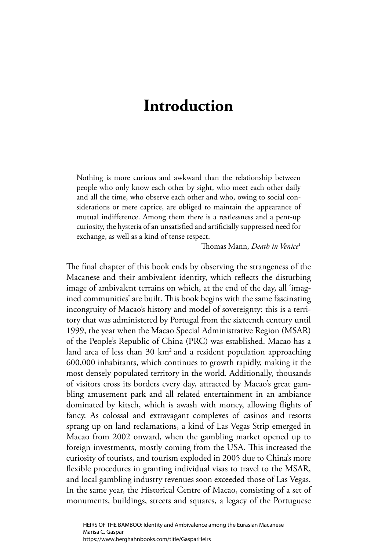## **Introduction**

Nothing is more curious and awkward than the relationship between people who only know each other by sight, who meet each other daily and all the time, who observe each other and who, owing to social considerations or mere caprice, are obliged to maintain the appearance of mutual indifference. Among them there is a restlessness and a pent-up curiosity, the hysteria of an unsatisfied and artificially suppressed need for exchange, as well as a kind of tense respect.

—Th omas Mann, *Death in Venice*<sup>1</sup>

The final chapter of this book ends by observing the strangeness of the Macanese and their ambivalent identity, which reflects the disturbing image of ambivalent terrains on which, at the end of the day, all 'imagined communities' are built. This book begins with the same fascinating incongruity of Macao's history and model of sovereignty: this is a territory that was administered by Portugal from the sixteenth century until 1999, the year when the Macao Special Administrative Region (MSAR) of the People's Republic of China (PRC) was established. Macao has a land area of less than  $30 \text{ km}^2$  and a resident population approaching 600,000 inhabitants, which continues to growth rapidly, making it the most densely populated territory in the world. Additionally, thousands of visitors cross its borders every day, attracted by Macao's great gambling amusement park and all related entertainment in an ambiance dominated by kitsch, which is awash with money, allowing flights of fancy. As colossal and extravagant complexes of casinos and resorts sprang up on land reclamations, a kind of Las Vegas Strip emerged in Macao from 2002 onward, when the gambling market opened up to foreign investments, mostly coming from the USA. This increased the curiosity of tourists, and tourism exploded in 2005 due to China's more flexible procedures in granting individual visas to travel to the MSAR, and local gambling industry revenues soon exceeded those of Las Vegas. In the same year, the Historical Centre of Macao, consisting of a set of monuments, buildings, streets and squares, a legacy of the Portuguese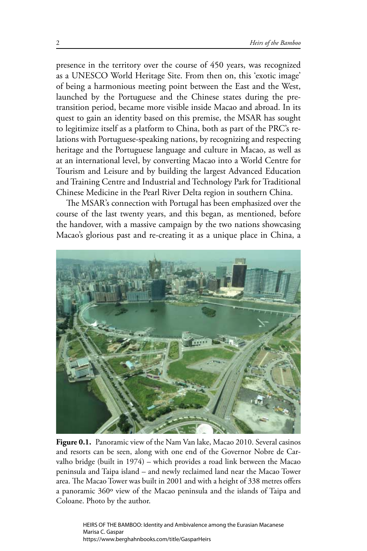presence in the territory over the course of 450 years, was recognized as a UNESCO World Heritage Site. From then on, this 'exotic image' of being a harmonious meeting point between the East and the West, launched by the Portuguese and the Chinese states during the pretransition period, became more visible inside Macao and abroad. In its quest to gain an identity based on this premise, the MSAR has sought to legitimize itself as a platform to China, both as part of the PRC's relations with Portuguese-speaking nations, by recognizing and respecting heritage and the Portuguese language and culture in Macao, as well as at an international level, by converting Macao into a World Centre for Tourism and Leisure and by building the largest Advanced Education and Training Centre and Industrial and Technology Park for Traditional Chinese Medicine in the Pearl River Delta region in southern China.

The MSAR's connection with Portugal has been emphasized over the course of the last twenty years, and this began, as mentioned, before the handover, with a massive campaign by the two nations showcasing Macao's glorious past and re-creating it as a unique place in China, a



**Figure 0.1.** Panoramic view of the Nam Van lake, Macao 2010. Several casinos and resorts can be seen, along with one end of the Governor Nobre de Carvalho bridge (built in 1974) – which provides a road link between the Macao peninsula and Taipa island – and newly reclaimed land near the Macao Tower area. The Macao Tower was built in 2001 and with a height of 338 metres offers a panoramic 360º view of the Macao peninsula and the islands of Taipa and Coloane. Photo by the author.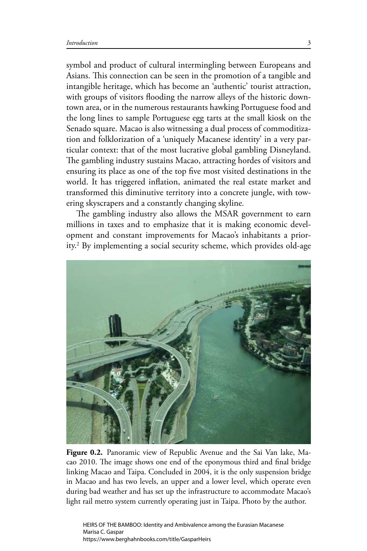symbol and product of cultural intermingling between Europeans and Asians. This connection can be seen in the promotion of a tangible and intangible heritage, which has become an 'authentic' tourist attraction, with groups of visitors flooding the narrow alleys of the historic downtown area, or in the numerous restaurants hawking Portuguese food and the long lines to sample Portuguese egg tarts at the small kiosk on the Senado square. Macao is also witnessing a dual process of commoditization and folklorization of a 'uniquely Macanese identity' in a very particular context: that of the most lucrative global gambling Disneyland. The gambling industry sustains Macao, attracting hordes of visitors and ensuring its place as one of the top five most visited destinations in the world. It has triggered inflation, animated the real estate market and transformed this diminutive territory into a concrete jungle, with towering skyscrapers and a constantly changing skyline*.*

The gambling industry also allows the MSAR government to earn millions in taxes and to emphasize that it is making economic development and constant improvements for Macao's inhabitants a priority.2 By implementing a social security scheme, which provides old-age



**Figure 0.2.** Panoramic view of Republic Avenue and the Sai Van lake, Macao 2010. The image shows one end of the eponymous third and final bridge linking Macao and Taipa. Concluded in 2004, it is the only suspension bridge in Macao and has two levels, an upper and a lower level, which operate even during bad weather and has set up the infrastructure to accommodate Macao's light rail metro system currently operating just in Taipa. Photo by the author.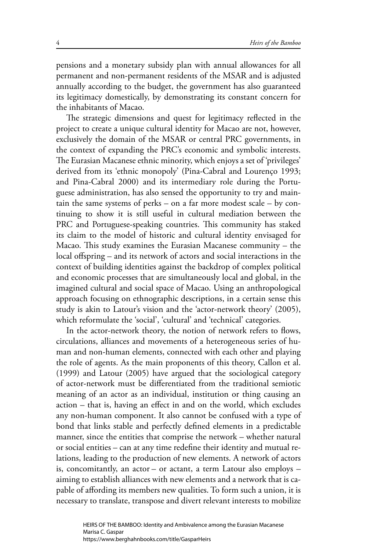pensions and a monetary subsidy plan with annual allowances for all permanent and non-permanent residents of the MSAR and is adjusted annually according to the budget, the government has also guaranteed its legitimacy domestically, by demonstrating its constant concern for the inhabitants of Macao.

The strategic dimensions and quest for legitimacy reflected in the project to create a unique cultural identity for Macao are not, however, exclusively the domain of the MSAR or central PRC governments, in the context of expanding the PRC's economic and symbolic interests. The Eurasian Macanese ethnic minority, which enjoys a set of 'privileges' derived from its 'ethnic monopoly' (Pina-Cabral and Lourenço 1993; and Pina-Cabral 2000) and its intermediary role during the Portuguese administration, has also sensed the opportunity to try and maintain the same systems of perks – on a far more modest scale – by continuing to show it is still useful in cultural mediation between the PRC and Portuguese-speaking countries. This community has staked its claim to the model of historic and cultural identity envisaged for Macao. This study examines the Eurasian Macanese community  $-$  the local offspring – and its network of actors and social interactions in the context of building identities against the backdrop of complex political and economic processes that are simultaneously local and global, in the imagined cultural and social space of Macao. Using an anthropological approach focusing on ethnographic descriptions, in a certain sense this study is akin to Latour's vision and the 'actor-network theory' (2005), which reformulate the 'social', 'cultural' and 'technical' categories.

In the actor-network theory, the notion of network refers to flows, circulations, alliances and movements of a heterogeneous series of human and non-human elements, connected with each other and playing the role of agents. As the main proponents of this theory, Callon et al. (1999) and Latour (2005) have argued that the sociological category of actor-network must be differentiated from the traditional semiotic meaning of an actor as an individual, institution or thing causing an  $action - that is, having an effect in and on the world, which excludes$ any non-human component. It also cannot be confused with a type of bond that links stable and perfectly defined elements in a predictable manner, since the entities that comprise the network – whether natural or social entities – can at any time redefine their identity and mutual relations, leading to the production of new elements. A network of actors is, concomitantly, an actor – or actant, a term Latour also employs – aiming to establish alliances with new elements and a network that is capable of affording its members new qualities. To form such a union, it is necessary to translate, transpose and divert relevant interests to mobilize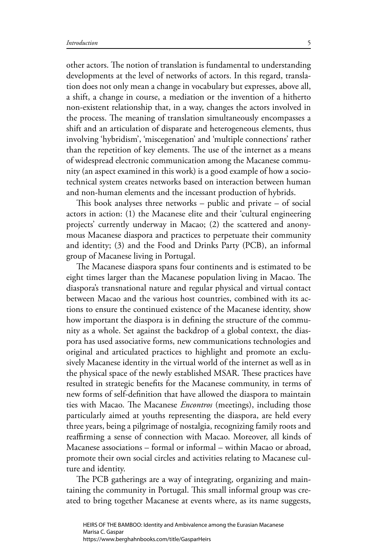other actors. The notion of translation is fundamental to understanding developments at the level of networks of actors. In this regard, translation does not only mean a change in vocabulary but expresses, above all, a shift, a change in course, a mediation or the invention of a hitherto non-existent relationship that, in a way, changes the actors involved in the process. The meaning of translation simultaneously encompasses a shift and an articulation of disparate and heterogeneous elements, thus involving 'hybridism', 'miscegenation' and 'multiple connections' rather than the repetition of key elements. The use of the internet as a means of widespread electronic communication among the Macanese community (an aspect examined in this work) is a good example of how a sociotechnical system creates networks based on interaction between human and non-human elements and the incessant production of hybrids.

This book analyses three networks  $-$  public and private  $-$  of social actors in action: (1) the Macanese elite and their 'cultural engineering projects' currently underway in Macao; (2) the scattered and anonymous Macanese diaspora and practices to perpetuate their community and identity; (3) and the Food and Drinks Party (PCB), an informal group of Macanese living in Portugal.

The Macanese diaspora spans four continents and is estimated to be eight times larger than the Macanese population living in Macao. The diaspora's transnational nature and regular physical and virtual contact between Macao and the various host countries, combined with its actions to ensure the continued existence of the Macanese identity, show how important the diaspora is in defining the structure of the community as a whole. Set against the backdrop of a global context, the diaspora has used associative forms, new communications technologies and original and articulated practices to highlight and promote an exclusively Macanese identity in the virtual world of the internet as well as in the physical space of the newly established MSAR. These practices have resulted in strategic benefits for the Macanese community, in terms of new forms of self-definition that have allowed the diaspora to maintain ties with Macao. The Macanese *Encontros* (meetings), including those particularly aimed at youths representing the diaspora, are held every three years, being a pilgrimage of nostalgia, recognizing family roots and reaffirming a sense of connection with Macao. Moreover, all kinds of Macanese associations – formal or informal – within Macao or abroad, promote their own social circles and activities relating to Macanese culture and identity.

The PCB gatherings are a way of integrating, organizing and maintaining the community in Portugal. This small informal group was created to bring together Macanese at events where, as its name suggests,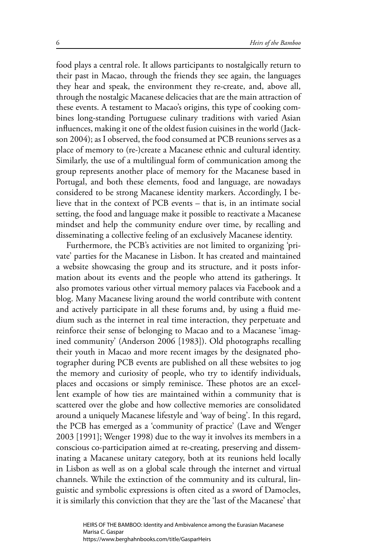food plays a central role. It allows participants to nostalgically return to their past in Macao, through the friends they see again, the languages they hear and speak, the environment they re-create, and, above all, through the nostalgic Macanese delicacies that are the main attraction of these events. A testament to Macao's origins, this type of cooking combines long-standing Portuguese culinary traditions with varied Asian influences, making it one of the oldest fusion cuisines in the world (Jackson 2004); as I observed, the food consumed at PCB reunions serves as a place of memory to (re-)create a Macanese ethnic and cultural identity. Similarly, the use of a multilingual form of communication among the group represents another place of memory for the Macanese based in Portugal, and both these elements, food and language, are nowadays considered to be strong Macanese identity markers. Accordingly, I believe that in the context of PCB events – that is, in an intimate social setting, the food and language make it possible to reactivate a Macanese mindset and help the community endure over time, by recalling and disseminating a collective feeling of an exclusively Macanese identity.

Furthermore, the PCB's activities are not limited to organizing 'private' parties for the Macanese in Lisbon. It has created and maintained a website showcasing the group and its structure, and it posts information about its events and the people who attend its gatherings. It also promotes various other virtual memory palaces via Facebook and a blog. Many Macanese living around the world contribute with content and actively participate in all these forums and, by using a fluid medium such as the internet in real time interaction, they perpetuate and reinforce their sense of belonging to Macao and to a Macanese 'imagined community' (Anderson 2006 [1983]). Old photographs recalling their youth in Macao and more recent images by the designated photographer during PCB events are published on all these websites to jog the memory and curiosity of people, who try to identify individuals, places and occasions or simply reminisce. These photos are an excellent example of how ties are maintained within a community that is scattered over the globe and how collective memories are consolidated around a uniquely Macanese lifestyle and 'way of being'. In this regard, the PCB has emerged as a 'community of practice' (Lave and Wenger 2003 [1991]; Wenger 1998) due to the way it involves its members in a conscious co-participation aimed at re-creating, preserving and disseminating a Macanese unitary category, both at its reunions held locally in Lisbon as well as on a global scale through the internet and virtual channels. While the extinction of the community and its cultural, linguistic and symbolic expressions is often cited as a sword of Damocles, it is similarly this conviction that they are the 'last of the Macanese' that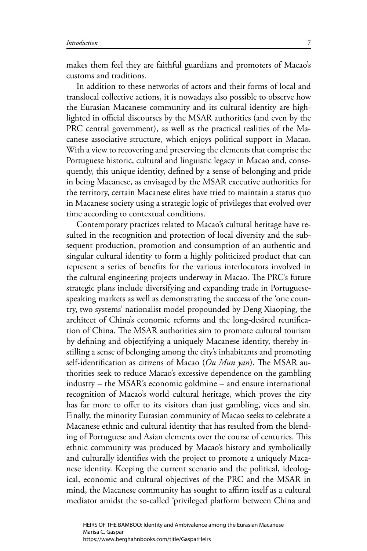makes them feel they are faithful guardians and promoters of Macao's customs and traditions.

In addition to these networks of actors and their forms of local and translocal collective actions, it is nowadays also possible to observe how the Eurasian Macanese community and its cultural identity are highlighted in official discourses by the MSAR authorities (and even by the PRC central government), as well as the practical realities of the Macanese associative structure, which enjoys political support in Macao. With a view to recovering and preserving the elements that comprise the Portuguese historic, cultural and linguistic legacy in Macao and, consequently, this unique identity, defined by a sense of belonging and pride in being Macanese, as envisaged by the MSAR executive authorities for the territory, certain Macanese elites have tried to maintain a status quo in Macanese society using a strategic logic of privileges that evolved over time according to contextual conditions.

Contemporary practices related to Macao's cultural heritage have resulted in the recognition and protection of local diversity and the subsequent production, promotion and consumption of an authentic and singular cultural identity to form a highly politicized product that can represent a series of benefits for the various interlocutors involved in the cultural engineering projects underway in Macao. The PRC's future strategic plans include diversifying and expanding trade in Portuguesespeaking markets as well as demonstrating the success of the 'one country, two systems' nationalist model propounded by Deng Xiaoping, the architect of China's economic reforms and the long-desired reunification of China. The MSAR authorities aim to promote cultural tourism by defining and objectifying a uniquely Macanese identity, thereby instilling a sense of belonging among the city's inhabitants and promoting self-identification as citizens of Macao (Ou Mun yan). The MSAR authorities seek to reduce Macao's excessive dependence on the gambling industry – the MSAR's economic goldmine – and ensure international recognition of Macao's world cultural heritage, which proves the city has far more to offer to its visitors than just gambling, vices and sin. Finally, the minority Eurasian community of Macao seeks to celebrate a Macanese ethnic and cultural identity that has resulted from the blending of Portuguese and Asian elements over the course of centuries. This ethnic community was produced by Macao's history and symbolically and culturally identifies with the project to promote a uniquely Macanese identity. Keeping the current scenario and the political, ideological, economic and cultural objectives of the PRC and the MSAR in mind, the Macanese community has sought to affirm itself as a cultural mediator amidst the so-called 'privileged platform between China and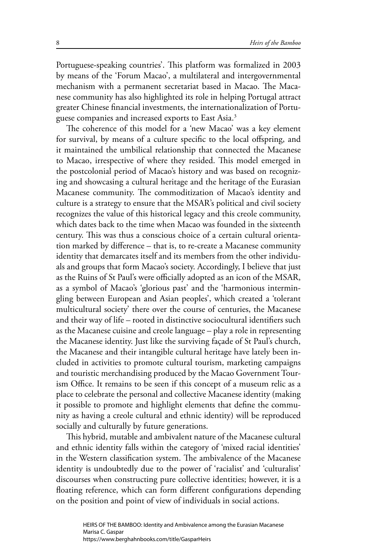Portuguese-speaking countries'. This platform was formalized in 2003 by means of the 'Forum Macao', a multilateral and intergovernmental mechanism with a permanent secretariat based in Macao. The Macanese community has also highlighted its role in helping Portugal attract greater Chinese financial investments, the internationalization of Portuguese companies and increased exports to East Asia.3

The coherence of this model for a 'new Macao' was a key element for survival, by means of a culture specific to the local offspring, and it maintained the umbilical relationship that connected the Macanese to Macao, irrespective of where they resided. This model emerged in the postcolonial period of Macao's history and was based on recognizing and showcasing a cultural heritage and the heritage of the Eurasian Macanese community. The commoditization of Macao's identity and culture is a strategy to ensure that the MSAR's political and civil society recognizes the value of this historical legacy and this creole community, which dates back to the time when Macao was founded in the sixteenth century. This was thus a conscious choice of a certain cultural orientation marked by difference – that is, to re-create a Macanese community identity that demarcates itself and its members from the other individuals and groups that form Macao's society. Accordingly, I believe that just as the Ruins of St Paul's were officially adopted as an icon of the MSAR, as a symbol of Macao's 'glorious past' and the 'harmonious intermingling between European and Asian peoples', which created a 'tolerant multicultural society' there over the course of centuries, the Macanese and their way of life – rooted in distinctive sociocultural identifiers such as the Macanese cuisine and creole language – play a role in representing the Macanese identity. Just like the surviving façade of St Paul's church, the Macanese and their intangible cultural heritage have lately been included in activities to promote cultural tourism, marketing campaigns and touristic merchandising produced by the Macao Government Tourism Office. It remains to be seen if this concept of a museum relic as a place to celebrate the personal and collective Macanese identity (making it possible to promote and highlight elements that define the community as having a creole cultural and ethnic identity) will be reproduced socially and culturally by future generations.

This hybrid, mutable and ambivalent nature of the Macanese cultural and ethnic identity falls within the category of 'mixed racial identities' in the Western classification system. The ambivalence of the Macanese identity is undoubtedly due to the power of 'racialist' and 'culturalist' discourses when constructing pure collective identities; however, it is a floating reference, which can form different configurations depending on the position and point of view of individuals in social actions.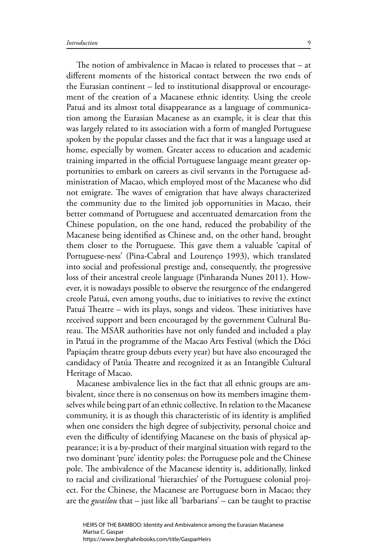The notion of ambivalence in Macao is related to processes that  $-$  at different moments of the historical contact between the two ends of the Eurasian continent – led to institutional disapproval or encouragement of the creation of a Macanese ethnic identity. Using the creole Patuá and its almost total disappearance as a language of communication among the Eurasian Macanese as an example, it is clear that this was largely related to its association with a form of mangled Portuguese spoken by the popular classes and the fact that it was a language used at home, especially by women. Greater access to education and academic training imparted in the official Portuguese language meant greater opportunities to embark on careers as civil servants in the Portuguese administration of Macao, which employed most of the Macanese who did not emigrate. The waves of emigration that have always characterized the community due to the limited job opportunities in Macao, their better command of Portuguese and accentuated demarcation from the Chinese population, on the one hand, reduced the probability of the Macanese being identified as Chinese and, on the other hand, brought them closer to the Portuguese. This gave them a valuable 'capital of Portuguese-ness' (Pina-Cabral and Lourenço 1993), which translated into social and professional prestige and, consequently, the progressive loss of their ancestral creole language (Pinharanda Nunes 2011). However, it is nowadays possible to observe the resurgence of the endangered creole Patuá, even among youths, due to initiatives to revive the extinct Patuá Theatre – with its plays, songs and videos. These initiatives have received support and been encouraged by the government Cultural Bureau. The MSAR authorities have not only funded and included a play in Patuá in the programme of the Macao Arts Festival (which the Dóci Papiaçám theatre group debuts every year) but have also encouraged the candidacy of Patúa Theatre and recognized it as an Intangible Cultural Heritage of Macao.

Macanese ambivalence lies in the fact that all ethnic groups are ambivalent, since there is no consensus on how its members imagine themselves while being part of an ethnic collective. In relation to the Macanese community, it is as though this characteristic of its identity is amplified when one considers the high degree of subjectivity, personal choice and even the difficulty of identifying Macanese on the basis of physical appearance; it is a by-product of their marginal situation with regard to the two dominant 'pure' identity poles: the Portuguese pole and the Chinese pole. The ambivalence of the Macanese identity is, additionally, linked to racial and civilizational 'hierarchies' of the Portuguese colonial project. For the Chinese, the Macanese are Portuguese born in Macao; they are the *gwailou* that – just like all 'barbarians' – can be taught to practise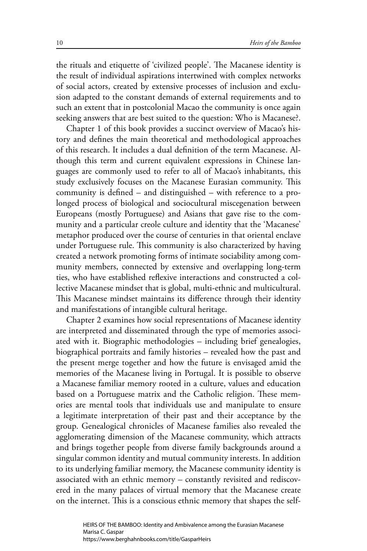the rituals and etiquette of 'civilized people'. The Macanese identity is the result of individual aspirations intertwined with complex networks of social actors, created by extensive processes of inclusion and exclusion adapted to the constant demands of external requirements and to such an extent that in postcolonial Macao the community is once again seeking answers that are best suited to the question: Who is Macanese?.

Chapter 1 of this book provides a succinct overview of Macao's history and defines the main theoretical and methodological approaches of this research. It includes a dual definition of the term Macanese. Although this term and current equivalent expressions in Chinese languages are commonly used to refer to all of Macao's inhabitants, this study exclusively focuses on the Macanese Eurasian community. This community is defined  $-$  and distinguished  $-$  with reference to a prolonged process of biological and sociocultural miscegenation between Europeans (mostly Portuguese) and Asians that gave rise to the community and a particular creole culture and identity that the 'Macanese' metaphor produced over the course of centuries in that oriental enclave under Portuguese rule. This community is also characterized by having created a network promoting forms of intimate sociability among community members, connected by extensive and overlapping long-term ties, who have established reflexive interactions and constructed a collective Macanese mindset that is global, multi-ethnic and multicultural. This Macanese mindset maintains its difference through their identity and manifestations of intangible cultural heritage.

Chapter 2 examines how social representations of Macanese identity are interpreted and disseminated through the type of memories associated with it. Biographic methodologies – including brief genealogies, biographical portraits and family histories – revealed how the past and the present merge together and how the future is envisaged amid the memories of the Macanese living in Portugal. It is possible to observe a Macanese familiar memory rooted in a culture, values and education based on a Portuguese matrix and the Catholic religion. These memories are mental tools that individuals use and manipulate to ensure a legitimate interpretation of their past and their acceptance by the group. Genealogical chronicles of Macanese families also revealed the agglomerating dimension of the Macanese community, which attracts and brings together people from diverse family backgrounds around a singular common identity and mutual community interests. In addition to its underlying familiar memory, the Macanese community identity is associated with an ethnic memory – constantly revisited and rediscovered in the many palaces of virtual memory that the Macanese create on the internet. This is a conscious ethnic memory that shapes the self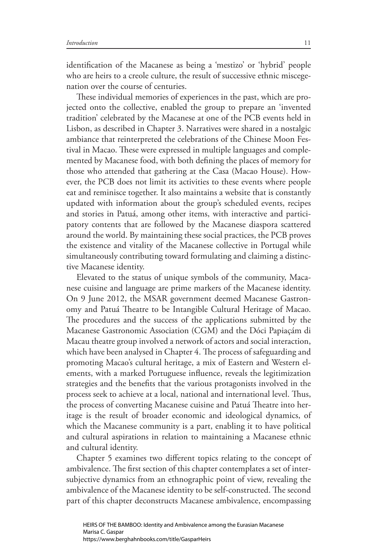identification of the Macanese as being a 'mestizo' or 'hybrid' people who are heirs to a creole culture, the result of successive ethnic miscegenation over the course of centuries.

These individual memories of experiences in the past, which are projected onto the collective, enabled the group to prepare an 'invented tradition' celebrated by the Macanese at one of the PCB events held in Lisbon, as described in Chapter 3. Narratives were shared in a nostalgic ambiance that reinterpreted the celebrations of the Chinese Moon Festival in Macao. These were expressed in multiple languages and complemented by Macanese food, with both defining the places of memory for those who attended that gathering at the Casa (Macao House). However, the PCB does not limit its activities to these events where people eat and reminisce together. It also maintains a website that is constantly updated with information about the group's scheduled events, recipes and stories in Patuá, among other items, with interactive and participatory contents that are followed by the Macanese diaspora scattered around the world. By maintaining these social practices, the PCB proves the existence and vitality of the Macanese collective in Portugal while simultaneously contributing toward formulating and claiming a distinctive Macanese identity.

Elevated to the status of unique symbols of the community, Macanese cuisine and language are prime markers of the Macanese identity. On 9 June 2012, the MSAR government deemed Macanese Gastronomy and Patuá Theatre to be Intangible Cultural Heritage of Macao. The procedures and the success of the applications submitted by the Macanese Gastronomic Association (CGM) and the Dóci Papiaçám di Macau theatre group involved a network of actors and social interaction, which have been analysed in Chapter 4. The process of safeguarding and promoting Macao's cultural heritage, a mix of Eastern and Western elements, with a marked Portuguese influence, reveals the legitimization strategies and the benefits that the various protagonists involved in the process seek to achieve at a local, national and international level. Thus, the process of converting Macanese cuisine and Patuá Theatre into heritage is the result of broader economic and ideological dynamics, of which the Macanese community is a part, enabling it to have political and cultural aspirations in relation to maintaining a Macanese ethnic and cultural identity.

Chapter 5 examines two different topics relating to the concept of ambivalence. The first section of this chapter contemplates a set of intersubjective dynamics from an ethnographic point of view, revealing the ambivalence of the Macanese identity to be self-constructed. The second part of this chapter deconstructs Macanese ambivalence, encompassing